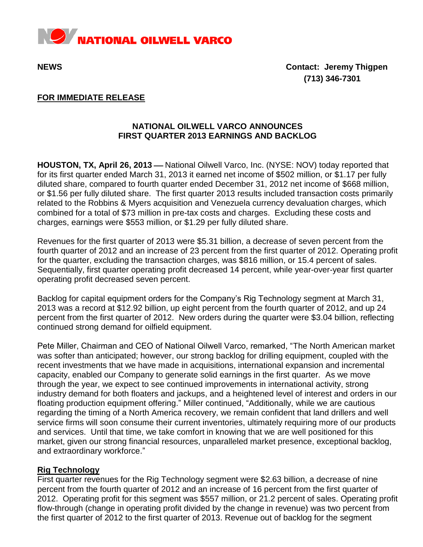

**NEWS Contact: Jeremy Thigpen (713) 346-7301**

## **FOR IMMEDIATE RELEASE**

# **NATIONAL OILWELL VARCO ANNOUNCES FIRST QUARTER 2013 EARNINGS AND BACKLOG**

HOUSTON, TX, April 26, 2013 – National Oilwell Varco, Inc. (NYSE: NOV) today reported that for its first quarter ended March 31, 2013 it earned net income of \$502 million, or \$1.17 per fully diluted share, compared to fourth quarter ended December 31, 2012 net income of \$668 million, or \$1.56 per fully diluted share. The first quarter 2013 results included transaction costs primarily related to the Robbins & Myers acquisition and Venezuela currency devaluation charges, which combined for a total of \$73 million in pre-tax costs and charges. Excluding these costs and charges, earnings were \$553 million, or \$1.29 per fully diluted share.

Revenues for the first quarter of 2013 were \$5.31 billion, a decrease of seven percent from the fourth quarter of 2012 and an increase of 23 percent from the first quarter of 2012. Operating profit for the quarter, excluding the transaction charges, was \$816 million, or 15.4 percent of sales. Sequentially, first quarter operating profit decreased 14 percent, while year-over-year first quarter operating profit decreased seven percent.

Backlog for capital equipment orders for the Company's Rig Technology segment at March 31, 2013 was a record at \$12.92 billion, up eight percent from the fourth quarter of 2012, and up 24 percent from the first quarter of 2012. New orders during the quarter were \$3.04 billion, reflecting continued strong demand for oilfield equipment.

Pete Miller, Chairman and CEO of National Oilwell Varco, remarked, "The North American market was softer than anticipated; however, our strong backlog for drilling equipment, coupled with the recent investments that we have made in acquisitions, international expansion and incremental capacity, enabled our Company to generate solid earnings in the first quarter. As we move through the year, we expect to see continued improvements in international activity, strong industry demand for both floaters and jackups, and a heightened level of interest and orders in our floating production equipment offering." Miller continued, "Additionally, while we are cautious regarding the timing of a North America recovery, we remain confident that land drillers and well service firms will soon consume their current inventories, ultimately requiring more of our products and services. Until that time, we take comfort in knowing that we are well positioned for this market, given our strong financial resources, unparalleled market presence, exceptional backlog, and extraordinary workforce."

## **Rig Technology**

First quarter revenues for the Rig Technology segment were \$2.63 billion, a decrease of nine percent from the fourth quarter of 2012 and an increase of 16 percent from the first quarter of 2012. Operating profit for this segment was \$557 million, or 21.2 percent of sales. Operating profit flow-through (change in operating profit divided by the change in revenue) was two percent from the first quarter of 2012 to the first quarter of 2013. Revenue out of backlog for the segment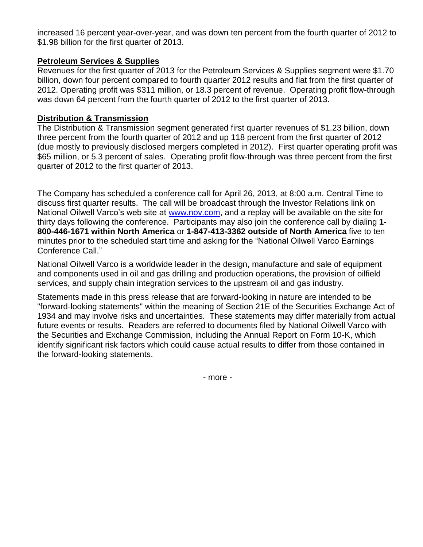increased 16 percent year-over-year, and was down ten percent from the fourth quarter of 2012 to \$1.98 billion for the first quarter of 2013.

## **Petroleum Services & Supplies**

Revenues for the first quarter of 2013 for the Petroleum Services & Supplies segment were \$1.70 billion, down four percent compared to fourth quarter 2012 results and flat from the first quarter of 2012. Operating profit was \$311 million, or 18.3 percent of revenue. Operating profit flow-through was down 64 percent from the fourth quarter of 2012 to the first quarter of 2013.

## **Distribution & Transmission**

The Distribution & Transmission segment generated first quarter revenues of \$1.23 billion, down three percent from the fourth quarter of 2012 and up 118 percent from the first quarter of 2012 (due mostly to previously disclosed mergers completed in 2012). First quarter operating profit was \$65 million, or 5.3 percent of sales. Operating profit flow-through was three percent from the first quarter of 2012 to the first quarter of 2013.

The Company has scheduled a conference call for April 26, 2013, at 8:00 a.m. Central Time to discuss first quarter results. The call will be broadcast through the Investor Relations link on National Oilwell Varco's web site at [www.nov.com,](http://www.nov.com/) and a replay will be available on the site for thirty days following the conference. Participants may also join the conference call by dialing **1- 800-446-1671 within North America** or **1-847-413-3362 outside of North America** five to ten minutes prior to the scheduled start time and asking for the "National Oilwell Varco Earnings Conference Call."

National Oilwell Varco is a worldwide leader in the design, manufacture and sale of equipment and components used in oil and gas drilling and production operations, the provision of oilfield services, and supply chain integration services to the upstream oil and gas industry.

Statements made in this press release that are forward-looking in nature are intended to be "forward-looking statements" within the meaning of Section 21E of the Securities Exchange Act of 1934 and may involve risks and uncertainties. These statements may differ materially from actual future events or results. Readers are referred to documents filed by National Oilwell Varco with the Securities and Exchange Commission, including the Annual Report on Form 10-K, which identify significant risk factors which could cause actual results to differ from those contained in the forward-looking statements.

- more -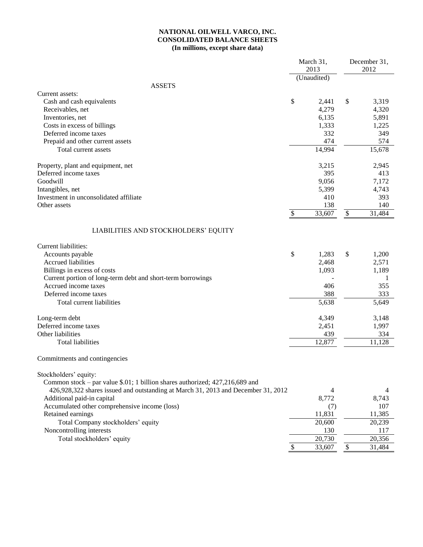### **NATIONAL OILWELL VARCO, INC. CONSOLIDATED BALANCE SHEETS (In millions, except share data)**

|                                                                                   | March 31,                 |                     |                           | December 31, |  |
|-----------------------------------------------------------------------------------|---------------------------|---------------------|---------------------------|--------------|--|
|                                                                                   |                           | 2013<br>(Unaudited) |                           | 2012         |  |
| <b>ASSETS</b>                                                                     |                           |                     |                           |              |  |
| Current assets:                                                                   |                           |                     |                           |              |  |
| Cash and cash equivalents                                                         | \$                        | 2,441               | \$                        | 3,319        |  |
| Receivables, net                                                                  |                           | 4,279               |                           | 4,320        |  |
| Inventories, net                                                                  |                           | 6,135               |                           | 5,891        |  |
| Costs in excess of billings                                                       |                           | 1,333               |                           | 1,225        |  |
| Deferred income taxes                                                             |                           | 332                 |                           | 349          |  |
| Prepaid and other current assets                                                  |                           | 474                 |                           | 574          |  |
| Total current assets                                                              |                           | 14,994              |                           | 15,678       |  |
| Property, plant and equipment, net                                                |                           | 3,215               |                           | 2,945        |  |
| Deferred income taxes                                                             |                           | 395                 |                           | 413          |  |
| Goodwill                                                                          |                           | 9,056               |                           | 7,172        |  |
| Intangibles, net                                                                  |                           | 5,399               |                           | 4,743        |  |
| Investment in unconsolidated affiliate                                            |                           | 410                 |                           | 393          |  |
| Other assets                                                                      |                           | 138                 |                           | 140          |  |
|                                                                                   | $\boldsymbol{\mathsf{S}}$ | 33,607              | $\boldsymbol{\mathsf{S}}$ | 31,484       |  |
| LIABILITIES AND STOCKHOLDERS' EQUITY                                              |                           |                     |                           |              |  |
| Current liabilities:                                                              |                           |                     |                           |              |  |
| Accounts payable                                                                  | \$                        | 1,283               | \$                        | 1,200        |  |
| Accrued liabilities                                                               |                           | 2,468               |                           | 2,571        |  |
| Billings in excess of costs                                                       |                           | 1,093               |                           | 1,189        |  |
| Current portion of long-term debt and short-term borrowings                       |                           |                     |                           | 1            |  |
| Accrued income taxes                                                              |                           | 406                 |                           | 355          |  |
| Deferred income taxes                                                             |                           | 388                 |                           | 333          |  |
| Total current liabilities                                                         |                           | 5,638               |                           | 5,649        |  |
| Long-term debt                                                                    |                           | 4,349               |                           | 3,148        |  |
| Deferred income taxes                                                             |                           | 2,451               |                           | 1,997        |  |
| Other liabilities                                                                 |                           | 439                 |                           | 334          |  |
| <b>Total liabilities</b>                                                          |                           | 12,877              |                           | 11,128       |  |
| Commitments and contingencies                                                     |                           |                     |                           |              |  |
| Stockholders' equity:                                                             |                           |                     |                           |              |  |
| Common stock – par value \$.01; 1 billion shares authorized; 427,216,689 and      |                           |                     |                           |              |  |
| 426,928,322 shares issued and outstanding at March 31, 2013 and December 31, 2012 |                           | 4                   |                           | 4            |  |
| Additional paid-in capital                                                        |                           | 8,772               |                           | 8,743        |  |
| Accumulated other comprehensive income (loss)                                     |                           | (7)                 |                           | 107          |  |
| Retained earnings                                                                 |                           | 11,831              |                           | 11,385       |  |
| Total Company stockholders' equity                                                |                           | 20,600              |                           | 20,239       |  |
| Noncontrolling interests                                                          |                           | 130                 |                           | 117          |  |
| Total stockholders' equity                                                        |                           | 20,730              |                           | 20,356       |  |
|                                                                                   | $\boldsymbol{\mathsf{S}}$ | 33,607              | $\$$                      | 31,484       |  |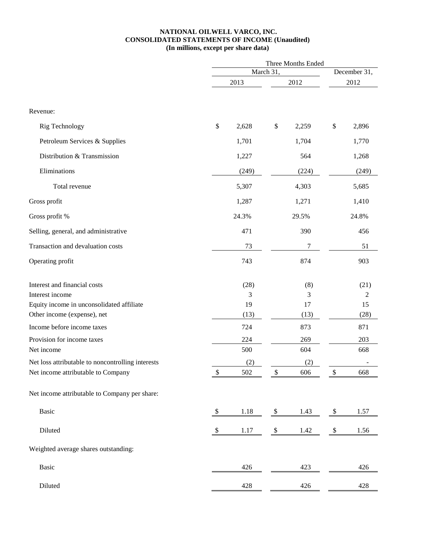#### **NATIONAL OILWELL VARCO, INC. CONSOLIDATED STATEMENTS OF INCOME (Unaudited) (In millions, except per share data)**

|                                                   | Three Months Ended      |       |            |       |                           |       |
|---------------------------------------------------|-------------------------|-------|------------|-------|---------------------------|-------|
|                                                   |                         |       | March 31,  |       | December 31,              |       |
|                                                   | 2013                    |       | 2012       |       | 2012                      |       |
|                                                   |                         |       |            |       |                           |       |
| Revenue:                                          |                         |       |            |       |                           |       |
| <b>Rig Technology</b>                             | \$                      | 2,628 | $\$$       | 2,259 | \$                        | 2,896 |
| Petroleum Services & Supplies                     |                         | 1,701 |            | 1,704 |                           | 1,770 |
| Distribution & Transmission                       |                         | 1,227 |            | 564   |                           | 1,268 |
| Eliminations                                      |                         | (249) |            | (224) |                           | (249) |
| Total revenue                                     |                         | 5,307 |            | 4,303 |                           | 5,685 |
| Gross profit                                      |                         | 1,287 |            | 1,271 |                           | 1,410 |
| Gross profit %                                    |                         | 24.3% |            | 29.5% |                           | 24.8% |
| Selling, general, and administrative              |                         | 471   |            | 390   |                           | 456   |
| Transaction and devaluation costs                 |                         | 73    |            | 7     |                           | 51    |
| Operating profit                                  |                         | 743   |            | 874   |                           | 903   |
| Interest and financial costs                      |                         | (28)  |            | (8)   |                           | (21)  |
| Interest income                                   |                         | 3     |            | 3     |                           | 2     |
| Equity income in unconsolidated affiliate         |                         | 19    |            | 17    |                           | 15    |
| Other income (expense), net                       |                         | (13)  |            | (13)  |                           | (28)  |
| Income before income taxes                        |                         | 724   |            | 873   |                           | 871   |
| Provision for income taxes                        |                         | 224   |            | 269   |                           | 203   |
| Net income                                        |                         | 500   |            | 604   |                           | 668   |
| Net loss attributable to noncontrolling interests |                         | (2)   |            | (2)   |                           |       |
| Net income attributable to Company                | \$                      | 502   | 7          | 606   | \$                        | 668   |
| Net income attributable to Company per share:     |                         |       |            |       |                           |       |
| <b>Basic</b>                                      | \$                      | 1.18  | \$         | 1.43  | \$                        | 1.57  |
| Diluted                                           | $\sqrt[6]{\frac{1}{2}}$ | 1.17  | $\sqrt{3}$ | 1.42  | $\boldsymbol{\mathsf{S}}$ | 1.56  |
| Weighted average shares outstanding:              |                         |       |            |       |                           |       |
| Basic                                             |                         | 426   |            | 423   |                           | 426   |
| Diluted                                           |                         | 428   |            | 426   |                           | 428   |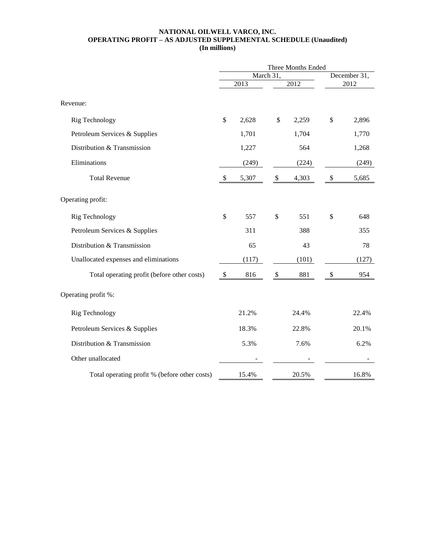#### **NATIONAL OILWELL VARCO, INC. OPERATING PROFIT – AS ADJUSTED SUPPLEMENTAL SCHEDULE (Unaudited) (In millions)**

|                                               | Three Months Ended        |                   |                           |                  |    |       |
|-----------------------------------------------|---------------------------|-------------------|---------------------------|------------------|----|-------|
|                                               | March 31,                 |                   |                           | December 31,     |    |       |
|                                               |                           | $\overline{2013}$ |                           | $\frac{1}{2012}$ |    | 2012  |
| Revenue:                                      |                           |                   |                           |                  |    |       |
| Rig Technology                                | \$                        | 2,628             | \$                        | 2,259            | \$ | 2,896 |
| Petroleum Services & Supplies                 |                           | 1,701             |                           | 1,704            |    | 1,770 |
| Distribution & Transmission                   |                           | 1,227             |                           | 564              |    | 1,268 |
| Eliminations                                  |                           | (249)             |                           | (224)            |    | (249) |
| <b>Total Revenue</b>                          | \$                        | 5,307             | $\boldsymbol{\mathsf{S}}$ | 4,303            | \$ | 5,685 |
| Operating profit:                             |                           |                   |                           |                  |    |       |
| Rig Technology                                | \$                        | 557               | \$                        | 551              | \$ | 648   |
| Petroleum Services & Supplies                 |                           | 311               |                           | 388              |    | 355   |
| Distribution & Transmission                   |                           | 65                |                           | 43               |    | 78    |
| Unallocated expenses and eliminations         |                           | (117)             |                           | (101)            |    | (127) |
| Total operating profit (before other costs)   | $\boldsymbol{\mathsf{S}}$ | 816               | $\$\,$                    | 881              | \$ | 954   |
| Operating profit %:                           |                           |                   |                           |                  |    |       |
| Rig Technology                                |                           | 21.2%             |                           | 24.4%            |    | 22.4% |
| Petroleum Services & Supplies                 |                           | 18.3%             |                           | 22.8%            |    | 20.1% |
| Distribution & Transmission                   |                           | 5.3%              |                           | 7.6%             |    | 6.2%  |
| Other unallocated                             |                           |                   |                           |                  |    |       |
| Total operating profit % (before other costs) |                           | 15.4%             |                           | 20.5%            |    | 16.8% |